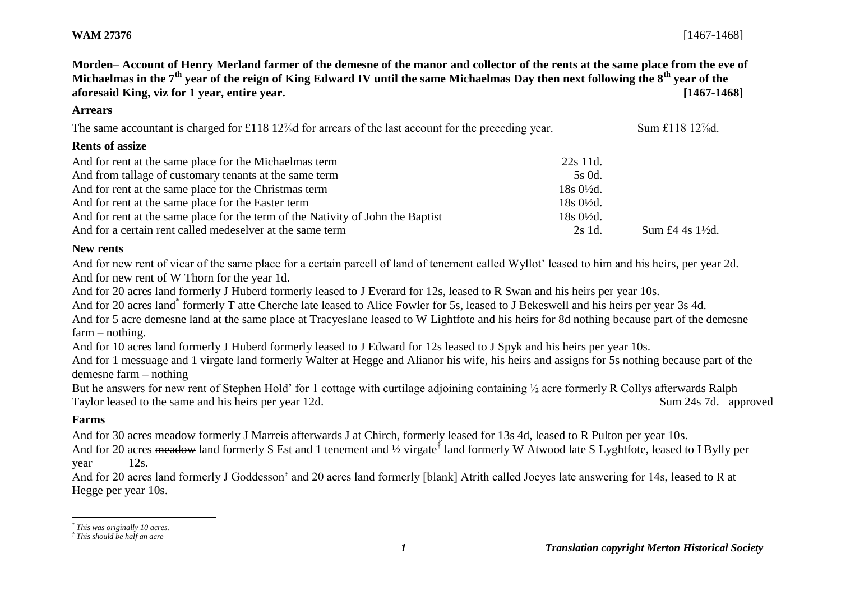**Morden– Account of Henry Merland farmer of the demesne of the manor and collector of the rents at the same place from the eve of Michaelmas in the 7th year of the reign of King Edward IV until the same Michaelmas Day then next following the 8th year of the aforesaid King, viz for 1 year, entire year. [1467-1468]**

#### **Arrears**

The same accountant is charged for £118 12<sup>7</sup> ad for arrears of the last account for the preceding year. Sum £118 12<sup>7</sup> ad.

### **Rents of assize**

| And for rent at the same place for the Michaelmas term                          | 22s 11d.               |                             |
|---------------------------------------------------------------------------------|------------------------|-----------------------------|
| And from tallage of customary tenants at the same term                          | 5s 0d.                 |                             |
| And for rent at the same place for the Christmas term                           | $18s\,0\frac{1}{2}d$ . |                             |
| And for rent at the same place for the Easter term                              | $18s0\frac{1}{2}d$ .   |                             |
| And for rent at the same place for the term of the Nativity of John the Baptist | $18s0\frac{1}{2}d$ .   |                             |
| And for a certain rent called medeselver at the same term                       | 2s 1d.                 | Sum £4 4s $1\frac{1}{2}d$ . |

## **New rents**

And for new rent of vicar of the same place for a certain parcell of land of tenement called Wyllot' leased to him and his heirs, per year 2d. And for new rent of W Thorn for the year 1d.

And for 20 acres land formerly J Huberd formerly leased to J Everard for 12s, leased to R Swan and his heirs per year 10s.

And for 20 acres land\* formerly T atte Cherche late leased to Alice Fowler for 5s, leased to J Bekeswell and his heirs per year 3s 4d.

And for 5 acre demesne land at the same place at Tracyeslane leased to W Lightfote and his heirs for 8d nothing because part of the demesne farm – nothing.

And for 10 acres land formerly J Huberd formerly leased to J Edward for 12s leased to J Spyk and his heirs per year 10s.

And for 1 messuage and 1 virgate land formerly Walter at Hegge and Alianor his wife, his heirs and assigns for 5s nothing because part of the demesne farm – nothing

But he answers for new rent of Stephen Hold' for 1 cottage with curtilage adjoining containing ½ acre formerly R Collys afterwards Ralph Taylor leased to the same and his heirs per year 12d. Sum 24s 7d. approved

# **Farms**

l

And for 30 acres meadow formerly J Marreis afterwards J at Chirch, formerly leased for 13s 4d, leased to R Pulton per year 10s. And for 20 acres meadow land formerly S Est and 1 tenement and 1/2 virgate<sup>†</sup> land formerly W Atwood late S Lyghtfote, leased to I Bylly per year 12s.

And for 20 acres land formerly J Goddesson' and 20 acres land formerly [blank] Atrith called Jocyes late answering for 14s, leased to R at Hegge per year 10s.

*<sup>\*</sup> This was originally 10 acres.*

*<sup>†</sup> This should be half an acre*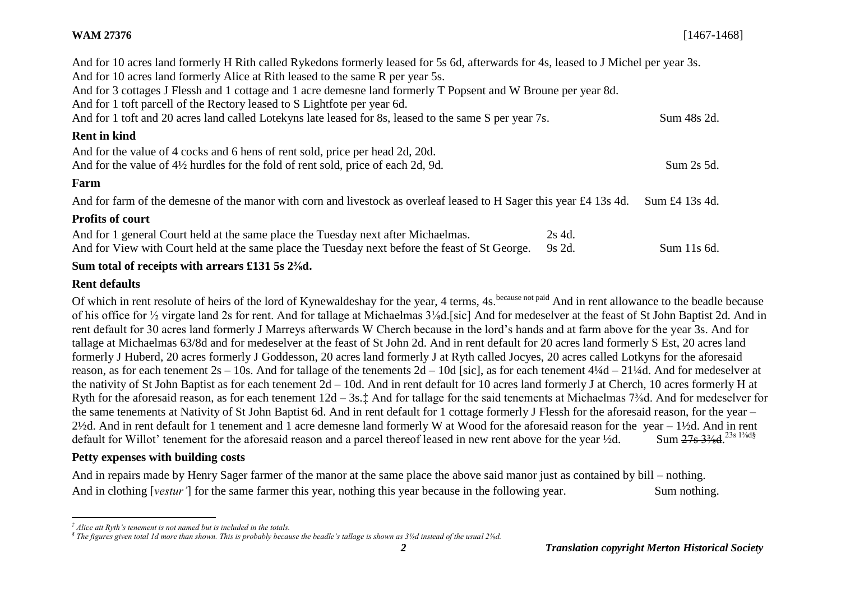## **WAM 27376** [1467-1468]

| And for 10 acres land formerly H Rith called Rykedons formerly leased for 5s 6d, afterwards for 4s, leased to J Michel per year 3s. |        |                |
|-------------------------------------------------------------------------------------------------------------------------------------|--------|----------------|
| And for 10 acres land formerly Alice at Rith leased to the same R per year 5s.                                                      |        |                |
| And for 3 cottages J Flessh and 1 cottage and 1 acre demesne land formerly T Popsent and W Broune per year 8d.                      |        |                |
| And for 1 toft parcell of the Rectory leased to S Lightfote per year 6d.                                                            |        |                |
| And for 1 toft and 20 acres land called Lotekyns late leased for 8s, leased to the same S per year 7s.                              |        |                |
| <b>Rent in kind</b>                                                                                                                 |        |                |
| And for the value of 4 cocks and 6 hens of rent sold, price per head 2d, 20d.                                                       |        |                |
| And for the value of $4\frac{1}{2}$ hurdles for the fold of rent sold, price of each 2d, 9d.                                        |        | Sum 2s 5d.     |
| Farm                                                                                                                                |        |                |
| And for farm of the demesne of the manor with corn and livestock as overleaf leased to H Sager this year £4 13s 4d.                 |        | Sum £4 13s 4d. |
| <b>Profits of court</b>                                                                                                             |        |                |
| And for 1 general Court held at the same place the Tuesday next after Michaelmas.                                                   | 2s 4d. |                |
| And for View with Court held at the same place the Tuesday next before the feast of St George.                                      | 9s 2d. | Sum 11s 6d.    |
| Sum total of receipts with arrears £131 5s 2%d.                                                                                     |        |                |

#### **Rent defaults**

l

Of which in rent resolute of heirs of the lord of Kynewaldeshay for the year, 4 terms, 4s.<sup>because not paid</sup> And in rent allowance to the beadle because of his office for ½ virgate land 2s for rent. And for tallage at Michaelmas 3⅛d.[sic] And for medeselver at the feast of St John Baptist 2d. And in rent default for 30 acres land formerly J Marreys afterwards W Cherch because in the lord's hands and at farm above for the year 3s. And for tallage at Michaelmas 63/8d and for medeselver at the feast of St John 2d. And in rent default for 20 acres land formerly S Est, 20 acres land formerly J Huberd, 20 acres formerly J Goddesson, 20 acres land formerly J at Ryth called Jocyes, 20 acres called Lotkyns for the aforesaid reason, as for each tenement 2s – 10s. And for tallage of the tenements 2d – 10d [sic], as for each tenement 4¼d – 21¼d. And for medeselver at the nativity of St John Baptist as for each tenement 2d – 10d. And in rent default for 10 acres land formerly J at Cherch, 10 acres formerly H at Ryth for the aforesaid reason, as for each tenement 12d – 3s.‡ And for tallage for the said tenements at Michaelmas 7⅜d. And for medeselver for the same tenements at Nativity of St John Baptist 6d. And in rent default for 1 cottage formerly J Flessh for the aforesaid reason, for the year – 2½d. And in rent default for 1 tenement and 1 acre demesne land formerly W at Wood for the aforesaid reason for the year – 1½d. And in rent default for Willot' tenement for the aforesaid reason and a parcel thereof leased in new rent above for the year ½d. Sum 27s 3<sup>3/\*</sup>d<sup>23s 13/\*d§</sup>

## **Petty expenses with building costs**

And in repairs made by Henry Sager farmer of the manor at the same place the above said manor just as contained by bill – nothing. And in clothing [*vestur'*] for the same farmer this year, nothing this year because in the following year. Sum nothing.

*<sup>‡</sup> Alice att Ryth's tenement is not named but is included in the totals.*

*<sup>§</sup> The figures given total 1d more than shown. This is probably because the beadle's tallage is shown as 3⅛d instead of the usual 2⅛d.*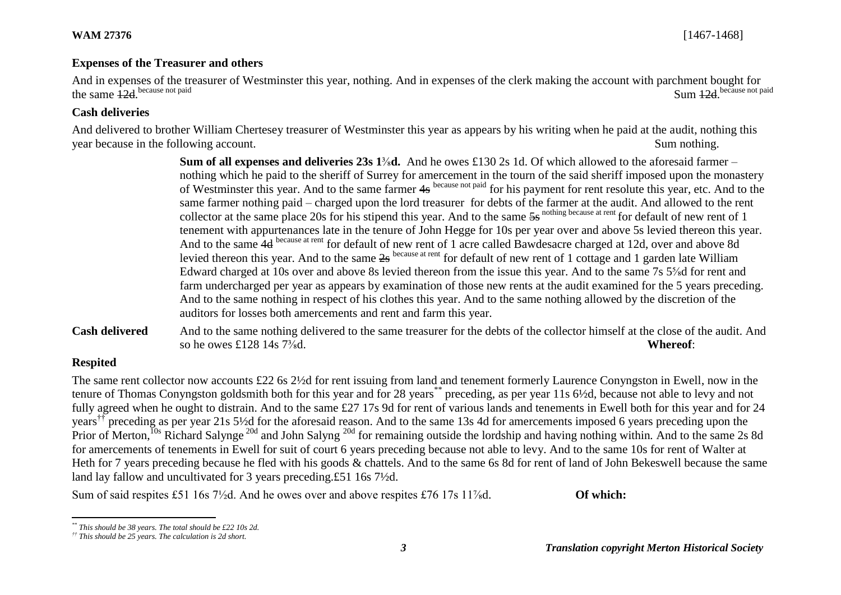#### **Expenses of the Treasurer and others**

And in expenses of the treasurer of Westminster this year, nothing. And in expenses of the clerk making the account with parchment bought for the same 12d because not paid because not paid Sum 12d. Sum 12d because not paid

## **Cash deliveries**

And delivered to brother William Chertesey treasurer of Westminster this year as appears by his writing when he paid at the audit, nothing this year because in the following account. Sum nothing.

> **Sum of all expenses and deliveries 23s 1<sup>3</sup><sub>8</sub>d.** And he owes £130 2s 1d. Of which allowed to the aforesaid farmer – nothing which he paid to the sheriff of Surrey for amercement in the tourn of the said sheriff imposed upon the monastery of Westminster this year. And to the same farmer 4s because not paid for his payment for rent resolute this year, etc. And to the same farmer nothing paid – charged upon the lord treasurer for debts of the farmer at the audit. And allowed to the rent collector at the same place 20s for his stipend this year. And to the same  $5s$  nothing because at rent for default of new rent of 1 tenement with appurtenances late in the tenure of John Hegge for 10s per year over and above 5s levied thereon this year. And to the same 4d because at rent for default of new rent of 1 acre called Bawdesacre charged at 12d, over and above 8d levied thereon this year. And to the same 2s because at rent for default of new rent of 1 cottage and 1 garden late William Edward charged at 10s over and above 8s levied thereon from the issue this year. And to the same 7s 5⅝d for rent and farm undercharged per year as appears by examination of those new rents at the audit examined for the 5 years preceding. And to the same nothing in respect of his clothes this year. And to the same nothing allowed by the discretion of the auditors for losses both amercements and rent and farm this year.

**Cash delivered** And to the same nothing delivered to the same treasurer for the debts of the collector himself at the close of the audit. And so he owes £128 14s  $7\frac{3}{8}$ d. **Whereof**:

# **Respited**

l

The same rent collector now accounts £22 6s 2½d for rent issuing from land and tenement formerly Laurence Conyngston in Ewell, now in the tenure of Thomas Conyngston goldsmith both for this year and for 28 years\*\* preceding, as per year 11s 6½d, because not able to levy and not fully agreed when he ought to distrain. And to the same £27 17s 9d for rent of various lands and tenements in Ewell both for this year and for 24 years<sup>††</sup> preceding as per year 21s 5½d for the aforesaid reason. And to the same 13s 4d for amercements imposed 6 years preceding upon the Prior of Merton,<sup>10s</sup> Richard Salynge<sup>20d</sup> and John Salyng<sup>20d</sup> for remaining outside the lordship and having nothing within. And to the same 2s 8d for amercements of tenements in Ewell for suit of court 6 years preceding because not able to levy. And to the same 10s for rent of Walter at Heth for 7 years preceding because he fled with his goods & chattels. And to the same 6s 8d for rent of land of John Bekeswell because the same land lay fallow and uncultivated for 3 years preceding.£51 16s 7½d.

Sum of said respites £51 16s 7<sup>1/</sup><sub>2</sub>d. And he owes over and above respites £76 17s 11<sup>7</sup>/<sub>8</sub>d. **Of which:** 

*<sup>\*\*</sup> This should be 38 years. The total should be £22 10s 2d.*

*<sup>††</sup> This should be 25 years. The calculation is 2d short.*